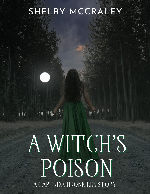## SHELBY MCCRALEY

## A WITCH'S POISON A CAPTRIX CHRONICLES STORY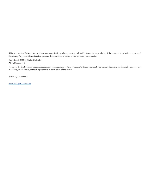This is a work of fiction. Names, characters, organizations, places, events, and incidents are either products of the author's imagination or are used ficticiously. Any resemblence to actual persons, living or dead, or actual events are purely coincidental.

Copyright © 2022 by Shelby McCraley All rights reserved.

No part of the this book may be reproduced, or stored in a retrieval system, or transmitted in any form or by any means, electronic, mechanical, photocopying, recording, or otherwise, without express written permission of the author.

Edited by Galli Haute

www.shelbymccraley.com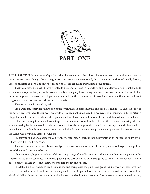

THE FIRST TIME I saw Artemis Capp, I stood in the pasta aisle of Food Lion, the local supermarket in the small town of New Meadows. Even though I hated this grocery store because it was constantly dirty and never had the food I really desired, I forced myself to go here. The tiny store made it so I could get in and out without being noticed.

That was always the goal—I never wanted to be seen. I dressed in long skirts and long sleeve shirts in public to hide as much skin as possible, going as far as consistently wearing my brown wavy hair down to cover the back of my neck. The outfit was supposed to make me look plain, unnoticeable. At the very least, a patron of the store would think I was a devout religious woman covering my body for modesty's sake.

That wasn't why I covered my skin.

I'm a Domum, otherwise known as a house witch that can perform spells and use basic telekinesis. The side effect of my powers is a light sheen that appears on my skin. To a regular human eye, it comes across as an inner glow. But to Artemis Capp, the small bit of wrist, I shone when grabbing a box of lasagna noodles from the top shelf looked like a disco ball.

It had been a long time since I saw a Captrix, a witch huntress, out in the wild. But there was no mistaking who the woman passing by the macaroni and cheese was, even though she appeared average in dark wash jeans and a black t-shirt, printed with a random business name on it. She had blonde hair shaped into a pixie cut and piercing blue eyes observing the scene with her phone pressed to her ear.

"What type of mac and cheese did you want," she said, barely listening to the conversation as she focused on my wrist. "Okay, I got it. I'll be home soon."

This was a woman who was always on edge, ready to attack at any moment, causing her to look rigid as she put the box of shells and cheese into her cart.

I blinked twice, hoping I could carefully set the package of noodles into my basket without her noticing me. But the Captrix looked at me too long. I continued pushing my cart down the aisle, struggling to walk with confidence. When I passed her, we locked eyes, and I knew she was going to try and kill me.

She stalked me as I rushed to the checkout line and then placed the purchased groceries in my car. She was never too close. If I turned around, I wouldn't immediately see her, but if I paused for a second, she would roll her cart around the aisle I left. When I checked out, she was buying her own food only a few lines away. She refused to glance in my direction,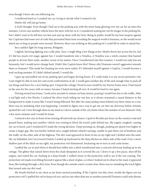even though I knew she was following me.

I swallowed hard as I cranked my car, trying to decide what I wanted to do.

Maybe she will just go home.

A fool's thought. Even though I had sat in the parking area with the street lamp glowing over my car for an extra five minutes, I never saw another vehicle leave the store with her in it. I considered waiting her out for longer in the parking lot, but I didn't want to be left here too late and end up alone with her here. Being in public would be my best weapon against her. Captrixes had some sort of code that prevented them from revealing the magical world to humans, so she would never attack me as long as people were around. However, there was nothing in this parking lot I could lift in order to attack her.

You couldn't fight for long anyway, Bridgette.

I sighed, knowing fighting was a silly plan. Sure, I might fling a few things at her. Maybe throw her across the lot, but if I did too much evil magic against her, I would transform into a Venefica. A Venefica was a witch creature that hunted people to devour their souls, another caveat of my nature. Once I transformed into this creature, I would not only lose my humanity, but I would never change back. Didn't this Captrix know this? Hence why Domums weren't aggressive towards them or humans? This made her hunting me even more unfair. If I defended myself against a Captrix, I would become a soul-sucking monster. If I didn't defend myself, I would die.

I gave up and pulled out of my parking spot and began driving home. If I could make it to my secret perimeter veil, I just might be able to lose her and avoid confrontation at all. I would gain another day of life and enough time to pack all my things and leave for a new hiding spot. I hoped the cottage I lived in now would be my forever home since I had stayed in the area for five years with no issues, because I hated starting all over. It would be hard to run again.

Driving toward my house, I took extra seconds to remain on busy streets, praying I would lose her in the traffic. After a red light and a few blocks, I realized the silver truck tailing me was her, as it always remained a causal distance in the background to make it seem like I wasn't being followed. But after the same pickup turns behind you three times in a row, there was no mistaking what was happening. I needed to figure out a way to get my car into my driveway before Artemis spotted the veil. I tore through ideas in my mind as I drove outside of the city limits where the number of cars thinned. Only a few more minutes and I would be home.

I noticed a few cars in front of me turning off and took my chance. I sped to 80 miles per hour on the country road and passed them, making sure another vehicle was coming to block the truck's path behind me. My engine coughed, causing my car to lurch, and I wondered if I made the wrong decision. I kept pressing on, though, pushing my speed even higher to create a larger gap. She was further behind now, caught behind vehicles turning, unable to pass them out of kindness and the traffic on the other side of the highway. The dirt road appeared in front of me on my right and I drifted onto the sand. My car fishtailed, but I recovered it before I ended up backward in the deep ditches on either side of the road. Over a more shallow part of the ditch on my right, my protection veil shimmered, beckoning me to turn in and come home.

I pulled the car in and where it should have fallen into a ditch transformed into a concrete driveway leading up to my cottage. The glitter that rained down from the cloak dissipated as it covered the car. I drove it up a few paces, shut off the engine, and exited the car. Sucking in a deep breath, I walked closer to the protection wall to see if she was coming. The protection veil made everything beyond it appear like a sheet of glass, so when I looked out to observe the road, it appeared hazy, like looking through a dirty lens. Even though the outside wasn't crystal clear, there was no mistaking the truck lights that turned onto my dirt road.

My breath hitched in my chest as my heart started pounding. If the Captrix was this close, would she figure out my protection veil? I spelled the veil to keep evil out, and no one other than me or another powerful Domum could only disarm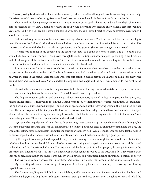it. However, loving Bridgette, who I hated at this moment, spelled the veil to allow good people in case they required help. Captrixes weren't known to be recognized as evil, so I assumed the veil would let her in if she found the border.

Then, I realized loving Bridgette also put in another aspect of the spell. The veil would sparkle a slight shimmer if someone needed access. Now I didn't know how the spell would determine who needed entry. When I cast this spell five years ago, I did it to help people. I wasn't concerned with how the spell would react to witch huntresses, even though I should have been.

I felt my palms grow sweaty as the truck drove past my driveway entrance. The truck stopped, leaving the headlights on to illuminate the dark road. After the engine died, the driver's door slammed, but I remained frozen in my position. The Captrix circled around the back of the vehicle, eyes focused on the ground. She was searching for my tire tracks.

 I considered running to my cottage, but the space was small, so I could be cornered there. The best option I had would be to face her out in the open if she passed through the veil. The Captrix's head snapped up, looking in my direction, and I held in a gasp. If the protection wall wasn't in front of me, we would have made eye contact again. She walked closer to the line of the veil and reached out to touch it, but snatched her hand back.

Squinting my eyes, I tried to see through the hazy veil and figure out what made her change her mind when a dog escaped from the woods onto the road. The brindle-colored dog had a medium stocky build with a smushed in nose. I analyzed the folds in the coat, realizing the dog was some sort of mixed breed Sharpei. If a Sharpei had a black fog hovering around their bodies and red eyes. A witch spelled the dog with evil magic and the dog was stomping its way right to the huntress.

She rolled her eyes as if she was listening to a voice in her head as the dog continued to stalk her. I opened my mouth to scream a warning, but my throat went dry. If I yelled, it would reveal my location.

The dog continued to stalk her and when it got about three feet away, it coiled its legs to prepare a lethal jump, eyes fixated on her throat. As it leaped in the air, the Captrix responded, clotheslining the creature just in time. She stumbled, losing her balance, but remained upright. The dog shook again and ran at the recovering woman, this time knocking her over. The huntress punched the Sharpei in the face and if this was an ordinary dog, it would have been stunned. It snapped at her instead. She pushed it off again, reaching down to her black boots, but the dog sank its teeth into the woman's calf before she got there. The Captrix screamed from the white-hot pain.

Against my better judgment, I knew I had to do something. I was sure the Captrix would eventually win this fight, but I assumed the witch creature that sent this animal spelled it to have poisonous bites. Even if the woman killed the dog, she would still suffer a slow, painful death long after she escaped without my help. While it made sense for me to let this happen to protect myself and my home, it wasn't in my morals to do so. I hated that about me being a good person.

I jolted myself from my spot and stepped through the veil, causing it to rain more glitter down as the invisibility lifted off of me. Reaching out my hand, I fixated all of my energy on lifting the Sharpei and tossing it down the road. It landed with a thud and the Captrix looked at me. The dog shook off the throw, so I picked it up again, throwing it into one of the pine trees that lined the ditch. This time, the impact was harder against the wood of the tree, and I felt it reverberate back into my bones. Even though the Sharpei was evil, my witch powers still recognized hurting anything as a misuse of power.

The evil voice from my powers sang in my head. Use more. Hurt more. Transform into who you were meant to be.

My hands tingled as more power surged through me. I took a deep breath to recenter myself, knowing I was leading myself down a dark hole.

The Captrix rose, limping slightly from the thigh bite, and locked eyes with me. She reached down into her boot and pulled out a dagger. The dog shook itself again, this time lasering its red eyes on me. Even though it was created to kill the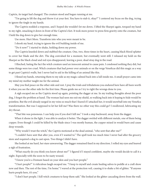Captrix, its target had changed. The creature stood and began running at me.

"I'm going to lift the dog and throw it at your feet. You have to stab it, okay?" I centered my focus on the dog, trying to ignore the tingle in my hands.

The Captrix nodded a response, and I hoped she wouldn't let me down. I lifted the Sharpei again, torqued my hand to my right, smacking it down in front of the Captrix's feet. It took more power to press firm gravity onto the creature, but I held the dog down to give her enough time.

Use more. Hurt More. Transform into who you were meant to be.

I shook my head, trying to ignore the evil building inside of me.

"Do it now!" I started to shake, holding down my power.

The Captrix kneeled down and stabbed the creature. One, two, three times in the heart, causing black blood splatter to cover her blade and the dirt. The dog convulsed for a moment, but eventually went still. I released my hold on the Sharpei as the black cloud and red eyes disappeared, leaving a poor, dead stray dog in the road.

I flinched, hating the fact the witch creature used an innocent animal to cause pain. I condoned nothing they did, but some things were too cruel. Witch creatures that had power over animals or on the verge Veneficas did this magic as a way to get past Captrix's walls, but I never had to aid in the killing of an animal like this.

I flexed my hands, returning them to my side as my magic calmed back into a lull inside me. A small prayer came into my mind my mother taught me for the animal.

May you find peace on the other side and rest. I pray the trials and tribulations you endured here have all been worth it when you see the other side for the first time. Please guide me as I try to right the wrongs done to you.

A sigh escaped me as the Captrix stood up again, pointing the dagger at me. In my trailing thoughts about the poor dog, I forgot the problem at hand. The woman had seen me exit my shield, so walking back into it hoping to hide would be pointless. But the evil already surged in my veins so much that I feared if I attacked her, it would snowball into my Venefica transformation. But was I supposed to let her kill me? Was there no other way this could go? I swallowed, lubricating my dry throat.

"That bite was poisonous. I can help you if you don't kill me." I took a step backward, away from the dagger.

When it shone in the light, I was able to analyze it better. The dagger swirled with different metals, one of them being copper. Even though I could be killed by the blade since I was mostly human, the copper mixed in would burn and cause deep wounds.

"Why would I trust the witch," the Captrix motioned at the dead animal, "who sent that after me?"

"I couldn't have sent that after you, even if I wanted to." The spell took too much time I never had after the grocery store and required a dog to cast upon. Two things I didn't have.

She looked at me hard, her stare unwavering. The dagger remained fixed in my direction. I rolled my eyes and heaved a sigh of frustration.

"What exactly do you think you know about me?" I figured if I stayed confident, maybe she would decide to call it a night. Especially with the soon-to-be nasty wound.

"I know you're a Domum based on your skin and you hurt people."

"I hurt people?" A ridiculous laugh escaped me. "I keep to myself and create healing salves to peddle at a craft show now and then. The rest of the time, I'm home." I waved at the protection veil, causing it to shake a bit of glitter. "If anyone hurts people here, it's you."

"I don't hurt people. I kill witch creatures to keep them safe." She looked at the glitter cascading down from the wall.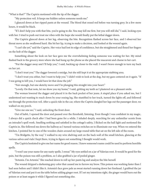"What is that?" The Captrix motioned with the tip of the dagger.

"My protection veil. It keeps me hidden unless someone needs me."

I glanced down at her ripped pants at the wound. The blood that oozed red before was turning grey. In a few more hours, it would be black.

"If I don't help you with that bite, you're going to die. You may kill me first, but you will still die," I said, locking eyes with her. I tried to push out trust me vibes with the hope she would finally put the lethal dagger down.

The Captrix glanced down at her leg, observing the bite. Recognition flashed across her face, and I observed her throat move as she swallowed hard. She bit her lip, trying to make a decision, and looked at the wound again.

"I can't die yet," said the Captrix. Her voice had lost its edge of confidence, but she straightened and flexed her fingers on the holt of the dagger.

Something about the look on her face gave me the overwhelming feeling someone was waiting for her. My mind flashed back to the grocery store where she had hung up the phone as she placed the macaroni and cheese in her cart.

"Put the dagger away and I'll help you," I said, backing up closer to the wall. I wasn't brave enough to turn my back on her yet.

"I don't trust you." The dagger lowered a smidge, but she still kept it at the appropriate stabbing area.

"I don't trust you either, but I want to help you." I didn't wish to look at the dog, but my gaze centered on it again. "If I was going to kill you, I would have let that done the job."

"Fair enough, but one sketchy move and I'm plunging this straight into your heart."

"Lovely. On that note, let me show you my home," I said, gritting my teeth as I plastered on a pleasant smile.

The woman lowered the dagger and placed it in the back pocket of her jeans. A stupid place if you asked me, but I understood not wanting to reach down by your oozing leg. She stumbled to her truck, turned the lights off, and followed me through the protection veil. After a quick ride in the car, where the Captrix dangled her legs out the passenger door, we walked on my porch.

"Give me one sec," I said, unlocking the front door.

Out of habit, I opened the door and paused over the threshold, listening. Even though I was confident in my magic, I always did a quick check after I had been gone for a while. I inhaled deeply, searching for any unfamiliar scents from an intruder's spell work. Smelling nothing and satisfied in the cottage's safety, I flicked on the hall light and motioned the Captrix in. She followed me down the hallway as I turned various switches on to illuminate our way. When we entered the kitchen, I pointed her to one of the wooden chairs around my large round table that sat on the left side of the room.

"I'm Bridgette, by the way." I walked to my wire shelving unit on the back wall of the small kitchen, glancing at the various salves and vials I kept there, trying to figure out something I thought would work.

The Captrix hesitated to give me her name for good reason. I knew someone's name could be used to perform horrible spells.

"I won't use your name for any nasty spells. I swear." My eyes settled on a jar of Valerian root. It would be good for the pain, but the poison was still a problem, so I also grabbed a jar of peeled ginger.

"Artemis. I'm Artemis." She reached down to roll up her pants leg and analyze the bite herself.

The wound dripped a darkening grey color that caused me to furrow my brow. This poison was working faster than I had seen before and I didn't like it. Artemis's face grew pale as sweat started running down her forehead. I grabbed the jar of Valerian root and put it on the table before adding ginger root. If I set my intentions right, the ginger would burn out the poison or at least negate it while I figured out something else.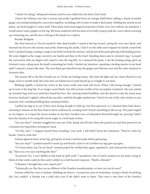"I think I'm dying," whispered Artemis and her eyes rolled into the back of her head.

I threw the Valerian root into a mortar and pestle I grabbed from my storage shelf before adding a chunk of peeled ginger root and grounding the concoction together, including a bit of water to make a thick paste. Holding the mortar in my palms, my head fought to center itself. These plain items had magical properties of their own, but without my intention, I would smear watery ginger on her leg. My brain scattered with the hum of evil still trying to pull me, worry about screwing up consuming me, and the fear of dying at the hands of a Captrix.

Breathe Bridgette.

My chest heaved as I forced myself to take deep breaths. I stared at the leg wound, seeing the ooze turn black, and returned my focus to the mortar and pestle. Removing the pestle, I laid it on the table and wrapped my hands around the bowl. I pushed energy, causing a surge in my body towards the mixture, and pictured the paste glowing with healing power. My arms tingled as the magic moved to my hands and then to the bowl. Kneeling down next to Artemis's leg, I scooped the concoction with my fingers and coated it onto the dog bite. As I smeared the paste, I saw the healing energy glow up Artemis's veins, eating away the death consuming her body. I steeled my intention, repeating a healing mantra in my head until I entered a trance-like state. The now black goo absorbed into the ginger and Valerian root and the color returned to Artemis's skin.

The mortar fell to the floor beside me as I broke my healing trance. My body felt light and my vision blurred as my magic tried to resettle itself. My arms shot out behind me to hold myself up as I fought to not faint.

Blinking rapidly, I cleared my vision so the room could come back into focus. When I felt strong enough, I leaned up to look at the dog bite. It no longer oozed black, but still seemed swollen from incomplete treatment. My eyes trailed up Artemis's legs and torso until they found her face. Her coloring looked healthier, and she dared to wipe the sweat away from her forehead. I sighed, relieved she was alive, until the thought repulsed me. I had to be one of the only witches to save someone who considered killing them moments before.

I pulled my legs in to see if they were strong enough to hold up, but they quivered, so I released them back down, choosing to remain on the floor than to show weakness by crawling until I found something to lift me up. The paste tingled on my fingers, so I wiped the excess residue on my skirt. Another wave of exhaustion flowed through me, proving I didn't have the stamina to be using this much magic in a brief span of time.

"Are you okay?" Artemis wriggled her way out of the slump she fell into when she passed out and then peered at me a moment too long before turning her head.

"I'm fine. Just–." I stopped myself from revealing I was weak. I still didn't know her intentions. "Need to catch my breath. I had to work fast."

Artemis glanced down at her leg, giving the wound a hesitant poke before grimacing.

"Are you okay?" I pushed myself to stand up and found a chair to sit in before my legs gave up again.

"I've been better, but I'm not dead." Artemis poked the swelled skin again, regretted it, and returned her hand to her lap. "Have you ever seen anything like this?"

"In person? No. I can't dabble in this kind of spell work." I pondered a list of witch creatures in my head, trying to think of what witch could do this until I settled on a half-hearted response. "Maybe a Beastia?"

"A Beastia? I thought they were wiped out?"

"Technically yes. But they are an offshoot of the Venefica transformation, so how can you be sure?"

Artemis rolled her eyes in disdain, belittling my theory. I crossed my arms in frustration, trying to think of anything else, but couldn't. A Beastia was a solid idea even if she didn't want to listen. They were a rare form of the Venefica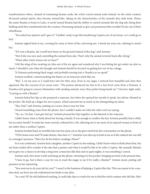transformation where, instead of consuming human souls, the witch craved animal souls instead. As the witch creature devoured animal spirits, they became animal-like, taking on the characteristics of the animals they stole from. Hence the name Beastia or beast in Latin. A newly turned Beastia had the ability to control animals like the dog into doing their bidding until they transformed into the creature. Possessing animals to give out poisonous bites wouldn't be far out of their wheelhouse.

"You asked my opinion and I gave it." I huffed, ready to get this headstrong Captrix out of my house, so I could go to bed.

Artemis sighed back at me, crossing her arms in front of her, mirroring me. I shook my arms out, refusing to match her.

"If it was a Beastia, she would have been on the ground instead of the dog," said Artemis.

"Not if she was new and controlling the animal from afar. That's why the animal reverted back after dying."

"What other witch choices do we have?"

I felt the sting of her swatting my idea out of the air again and wondered why I was letting her get under my skin so much. I shouldn't care what she thought and instead should be focused on getting her out of my cottage.

"A Domum performing black magic and probably turning into a Venefica as we speak."

Artemis nodded, content pushing the blame on an innocent witch like me.

"But," I cut my eyes so I could bore into her blue ones. Even in my anger, I noticed how beautiful and clear they appeared, like the crescent of an ocean wave. "The poison advanced too fast to be a low-level curse from a Domum. A Venefica isn't going to concern themselves with sending animals, since they prefer being hands on." I forced a tight smile. "Leaving us with a Beastia."

Artemis licked her lips as she prepared a response, but when she opened her mouth to speak, her phone vibrated in her pocket. She held up a finger for me to pause, which annoyed me as much as her disregarding my ideas.

"Hey Dad," said Artemis, putting on a more cheery tone for him.

I heard mumbling come from the phone, but I couldn't make out what the other end was saying.

"No, no, I'm fine. I just got tied up." Artemis pressed her lips together as she listened to the response.

I didn't know what to think about her having a family. It was enough to swallow the fact Artemis possibly had a child, but an entire family? It made her seem normal, softened her a bit, allowing me to see more of an injured woman in front of me rather than a soulless Captrix.

Artemis brushed back an invisible hair into her pixie cut as she grew tired from the conversation on the phone.

"I'll be home soon and I'll make dinner. Also have A–." Artemis's eyes shot up to look at me as if she realized she was still in a stranger's presence. "Have her do her history readings. Please?"

So it was confirmed, Artemis had a daughter, another Captrix in the making. I didn't know what to think about that, but my brain trailed off to wonder if she also had a partner and what it would be like to be with a Captrix. My nomadic lifestyle never gave me a chance to develop a long-term connection like that and on quiet nights, it was something I craved.

Artemis said a few more words and hung up the phone, returning it to her pocket, bringing me back to the present time.

"I have to go, but is there a way for you to track the magic to see if it's really a Beastia?" Artemis stood, putting soft pressure on her injured leg.

"You want me to do your job for you?" I wasn't in the business of helping a Captrix like this. This was meant to be a onetime deal, not force me into indentured servitude to stay alive.

"In a way? If I do old-fashioned tracking, it could take days or weeks for me to find the witch creature who did this. She's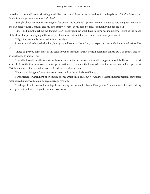locked on to me and I can't risk taking magic like that home." Artemis paused and took in a deep breath. "If it's a Beastia, my family is in danger every minute she's alive."

I thought about her request, turning the idea over in my head until I gave in. Even if I wanted to hate her given how much she had done to hurt Domums and my own family, it wasn't in my blood to refuse someone who needed help.

"Fine. But I'm not touching the dog and I can't do it right now. You'll have to come back tomorrow." I pushed the image of the dead sharpei mix laying in the road out of my mind before it had the chance to become permanent.

"I'll get the dog and bring it back tomorrow night."

Artemis moved to leave the kitchen, but I grabbed her arm. She jerked, not expecting the touch, but calmed before I let go.

"I need to give you some more of this salve to put on for when you get home. I don't have time to put it in a better vehicle, so you'll need to smear it on."

Normally, I would mix the roots in with some shea butter or beeswax so it could be applied smoothly. However, it didn't seem like I had the time now to make a nice presentation or to preserve the half-made salve for my own stores. I scooped what I left in the mortar into a small mason jar I had and gave it to Artemis.

"Thank you, Bridgette." Artemis took an extra look at the jar before stiffening.

It was strange to watch her put on this emotional armor like a coat, but it was almost like the normal person I saw before disappeared underneath required regalness and strength.

Nodding, I lead her out of the cottage before taking her back to her truck. Finally, after Artemis was settled and backing out, I gave a stupid wave I regretted as she drove away.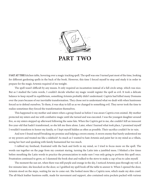

I SAT AT THE kitchen table, hovering over a magic tracking spell. The spell was one I turned past most of the time, looking for different gardening spells in the back of the book. However, this time I forced myself to stop and study it in order to prepare for the magic Artemis required of me tonight.

The spell wasn't difficult by any means. It only required an incantation instead of a full circle setup, which was nice. But as I studied the Latin words, I couldn't decide whether my magic would register the spell as evil. It took a delicate balance to keep myself in equilibrium, something Artemis probably didn't understand. Captrix had killed many Domums over the years because of our inevitable transformation. They chose not to understand what we dealt with when huntresses forced us to defend ourselves. To them, it was okay to kill us as we changed to something evil. They never took the time to realize sometimes they forced the transformation themselves.

This happened to my mother and sisters when a group found us before I was aware Captrix even existed. My mother protected my sisters and me with combative magic until she turned and was executed. I was the youngest daughter around five, so my sisters stepped up afterward following the same fate. When the Captrix got to me, she couldn't kill an innocent five-year-old that hadn't transformed, so she left me there alone. Later, when I learned what took place, I promised myself I wouldn't transform to honor my family, so I kept myself hidden as often as possible. Their sacrifice couldn't be in vain.

And now I found myself breaking my promise and helping a sworn enemy. A sworn enemy that barely understood me or my powers and treated me like a sidekick? As much as I wanted to hate Artemis and paint her in my mind as a villain, seeing her hurt and speaking with family humanized her too much.

I rubbed my forehead, frustrated with the back and forth in my mind, so I tried to focus more on the spell. The words ran together on the page from my constant staring, turning the Latin into a jumbled mess. I blinked a few times before mouthing the Latin words to practice the pronunciation to make sure I was only going to perform this spell once. Frustration continued to grow, so I slammed the book shut and walked to the stove to make a cup of tea to calm myself.

The moment the sun set, when there was still purple and orange in the sky, I noticed Artemis pass through my veil. A few minutes later, she knocked on the door, so I grabbed my spell book off the table to answer it. When I opened the door, Artemis stood on the steps, waiting for me to come out. She looked more like a Captrix now, which made my skin crawl. The all-black leather huntress outfit, made for movement and support, also contained extra pockets packed with various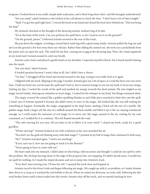weapons. I looked down at my outfit, simple dark wash jeans, and a black long sleeve shirt, and felt strangely underdressed.

"Are you ready," asked Artemis as she looked at her cell phone to check the time. "I don't have a lot of time tonight."

"Yeah. I've got the spell right here." I waved the book in my hand and closed the front door behind me. "Did you bring the dog?"

My stomach clenched at the thought of the decaying animal, undeserving of its fate.

"It's in the back of the truck. Can you perform the spell there, or do I need to set it on the ground?"

"On the ground, please." I followed Artemis around to the rear of the truck.

She put down the tailgate, revealing a closed black trash bag with a giant lump inside. Artemis pulled the bag out and sat it on the ground a few feet away from our vehicles. Rather than sliding the animal out, she took out a pocketknife from her pants and cut open the sack. The smell hit me first, causing me to gag at the decaying dog. Then, the visual registered in my mind and I turned around to catch my breath.

Artemis came closer and placed a gentle hand on my shoulder. I expected myself to flinch, but I found myself relaxing into the touch.

"Are you okay," asked Artemis.

A loaded question because I wasn't okay at all, but I didn't have a choice.

"I'm fine." I shrugged off her hand and turned around to the dog, trying to not really look at it again.

I fidgeted with my book, flipping to the page I needed. Artemis gave me a bit of space as I read the lines over one more time. I held my hand out, not because the spell said I had to, but it seemed strange to not use my body to focus my energy. Licking my lips, I recited the words of the spell and pushed my energy towards the dead animal. My arm tingled as my magic moved inside, obeying my intention to track magic. I waited for the whisper in my head, but things remained silent.

The magic covered the animal like a golden sparkling blanket as each little piece searched to find who cast the spell. I wasn't sure if Artemis spotted it because she didn't move or react to the magic. She looked like she was still waiting for something to happen. Eventually, the magic congregated at the dog's heart, stealing a black orb the size of a marble. My golden magic built a larger orb the size of a softball around the black marble and lifted it up in the air, staying translucent enough, so I could watch the remnants of evil magic try to move out. My magic paused in the air, waiting for my next command, so I nodded for it to continue. The orb floated towards the road.

"The orb's moving for you now. All you have to do is follow it to your witch." I closed my book, ready for a quick goodbye.

"What's moving?" Artemis looked at me with confusion as her eyes searched the air.

"You don't see the gold orb floating away with dark magic?" I pointed at my ball of magic that continued to drift away. "No?" Artemis searched again. "I don't see anything."

"If you can't see it, how are you going to track it to the Beastia?"

"You're going to have to come with me."

My heart sank into my stomach. I didn't plan on this being a full excursion and thought I could do one spell to solve this problem. My orb kept moving closer to the edge of the property line, not stopping. If I didn't decide soon, I would lose my spell for nothing. So I made the stupid decision and ran to jump into Artemis's truck.

"If we don't start moving now, I'll lose the orb." I opened the truck door and hopped in.

Artemis raced to the driver's side and began following my magic. We caught up with it, no problem, so I made Artemis slow down to a creep as I watched the orb bobble in the air. When we exited my driveway, we took a left, following the dirt road further down until it dead-ended into the woods. Artemis shut off the truck, and we started tracking by foot.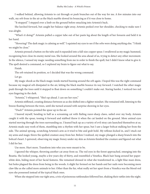I walked behind, allowing Artemis to cut through or push branches out of the way for me. A few minutes into our walk, my orb froze in the air as the black marble slowed its bouncing as if it was close to home.

"It stopped." I stepped over a limb on the ground before smacking into Artemis's back.

She lurched forward, but caught her balance right away. Artemis peeked over her shoulder, checking to make sure I was alright.

"What's it doing?" Artemis pulled a copper tube out of her pants leg about the length of her forearm and held it in her hand.

"Hovering? The dark magic is calming as well." I squinted my eyes to see if the orbs were doing anything else. "I think we might be close."

Artemis pressed a button on the tube and it expanded into a full-size copper spear. I swallowed as my magic hummed, recognizing how close its enemy metal was. She looked around the area ahead of us, trying to detect any other movement. In the silence, I sensed my magic needing something from me in order to finish the spell, but I didn't know what to give it. The spell desired a command, so I explored my brain to figure out what to say.

Finish.

The orb retained its position, so I decided that was the wrong command.

Let go.

My magic shook as the black magic inside started buzzing around the orb again. I hoped this was the right command because my magical orb dissipated in the air, letting the black marble bounce its way forward. I watched the other magic push through the trees until it stopped to float down on something I couldn't make out. Staring harder, I noticed two red eyes lingering in the dark.

"Artemis," I whispered. "She's up ahead. I can see her eyes."

Artemis stiffened, creating distance between us as she shifted into a fighter mindset. She remained still, listening to the breeze floating between the trees, until she turned around with surprise showing in her eyes.

"Duck!" Artemis pointed the spear up in the air.

I heaved myself, bending in half as a screaming cat with flailing razor-sharp claws, sailed over my body. Artemis caught it with the spear, tossing it forward and stabbed threw it when the cat landed on the ground. More animal eyes started moving through the trees surrounding us. I leaned back up as a variety of evil stray cats launched themselves at us. Artemis made easy work of them, stumbling into a rhythm with her spear, but I saw a larger bobcat stalking her from the side. The animal sprung, scratching Artemis's arm as it tried to bite and grab hold. My reflexes kicked in, and I stuck out my arms and magic threw the spelled creature away from her. Before I realized, my magic plunged a sharp branch into the bobcat's heart. I quivered, observing my magic frenzy under my skin as Artemis finished the creature and figured out what I did for her.

Use more. Hurt more. Transform into who you were meant to be.

I ignored the whisper, throwing another cat away from us. The red eyes in the forest approached, emerging into the Beastia. She looked young, maybe a few years shy of thirty, and resembled a Venefica. Black hair hung around her paperwhite skin, hiding most of her facial features. She remained dressed in what she transformed in, a light blue maxi dress, but holes plagued the dress from being in the woods. A slight fur formed on her hands and her nails were becoming more claw-like as she called more animals to her. Other than the fur, what really set her apart from a Venefica was the blood-red eyes she possessed instead of the typical black ones.

When she stepped into our tight area, a trio of poisonous rattlesnakes followed her, shaking their rattles into the night.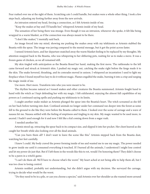Fear rushed over me at the sight of them. Scratching cats I could handle, but snakes were a whole other thing. I took a few steps back, adjusting my footing further away from the new arrivals.

An intrusion entered my head, forcing a connection, as I felt Artemis inside of me.

"Keep the snakes at bay and I'll handle her," whispered Artemis inside of my head.

The sensation of her being there was strange. Even though it was an intrusion, whenever she spoke, it felt like being wrapped in a warm blanket, as if the connection was always meant to be there.

"I don't like snakes," I mentally said back.

An image forced into my mind, showing me pushing the snakes away with my telekinesis as Artemis stabbed the Beastia with the spear. The image was jarring compared to the mental message, but it got the point across faster.

I sensed Artemis leave, and her departure snatched away the warm blanket feeling to be replaced by my thoughts. My attention snapped back to the Beastia, who was whispering to her slithering pets, waiting for us to make a move. It was a frozen game of chicken, as we all remained still.

My skin tingled with anticipation as the Beastia flexed her hand, making the first move. The rattlesnake to the left came forward and struck at Artemis's shin. I pushed my magic out, catching the snake right before the fangs made it to the skin. The snake hovered, thrashing, and its comrades moved in unison. I whispered an incantation I used to light my fireplace when I found myself too lazy to do it without magic. Flames engulfed the snake, burning it into a crisp and surging the magic inside of me.

Use more. Hurt more. Transform into who you were meant to be.

The rhythm became natural as I tossed snakes and other creatures the Beastia summoned. Artemis fought hand to hand with the witch as I kept defending her with my magic. I felt exhilarated, enjoying the almost full capabilities of my powers as I continued saying spells and pushing my telekinesis to its limits.

I caught another snake midair as Artemis plunged the spear into the Beastia's heart. The witch screamed as she fell on her back before turning into dust. Confused animals no longer under her command ran deeper into the forest as some fell to the ground to die like they were before the Beastia called to them. I looked over the scene of carnage and a wave of nausea hit me. Nausea settled with the feeling of emptiness and tingling in my skin. My magic wanted to be used more, to ascend. I hadn't used enough for it and now I felt like a kid coming down from a sugar rush.

I needed another hit.

Artemis stood up, retracting the spear back to its compact size, and slipped it into her pocket. Her chest heaved as she caught her breath while also looking over all the dead animals.

"Can you burn them all? I don't want to leave the scene like this." Artemis stepped back from the Beastia dust, watching her feet carefully.

I knew I could. My body craved the power forming inside of me and wanted me to use my magic. The power needed to grow inside me until it consumed everything it touched. If I burned all the animals, I understood I might lose control and let my power do just that. But if I left them in the woods like this to rot, would I be honoring them? They didn't choose to be a pawn in a witch's game.

"I can't do them all. We'll have to choose what's the worst." My heart ached at not being able to help them all, but I was too close to losing control.

Artemis nodded, probably not understanding, but she didn't argue with my decision. She surveyed the carnage, trying to decide what would be the worst.

"Do they need to be in a pile, or can you choose a species," said Artemis over her shoulder as she roamed more around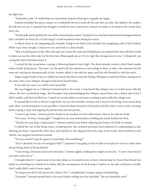the fight area.

"Preferably a pile." It would help me concentrate instead of having to magnify my magic.

Artemis extended the spear, using it as a makeshift shovel to push all the cats into one pile. She added a few snakes, but left the rest out. I assumed she thought it would be more natural for a bunch of snakes to be dead in the woods than stray cats.

"Do this pile and hopefully the rest will be cleaned up by nature." Artemis's voice had the tiniest shard of disappointment that I wouldn't do them all, as if she forgot I could transform from doing too much.

I walked closer to the disgusting pile of death, trying to not look at the animals, but imagining a pile of dirt instead. When I got close enough, I closed my eyes and took in a deep breath.

"May you find peace on the other side and rest. I pray the trials and tribulations you endured here have all been worth it when you see the other side for the first time. Please guide me as I try to right the wrongs done to you," I whispered, not caring this time if Artemis heard it.

I recited the fire incantation, causing a billowing flame to burn high. The dead animals created a thick black smoke before finally dying down. This time I set the spell with the intention to turn things to dust, so after a few minutes the fire went out, leaving an enormous pile of ash. Artemis raked it out with her spear until the ash blended in with the earth.

Magic surged inside of me as I balled my hands into fists to stop the feeling. Whispers roamed my brain, asking me to use more. But a new whisper emerged I had never heard before.

If you take her soul, you will be more powerful.

My eyes bugged out as I followed Artemis back to the truck. I only heard this whisper once as it died away with the others, the less I performed magic. But hearing it and acknowledging this whisper meant there was a darker side of me I didn't realize, and that terrified me. I wiped my sweaty palms on my jeans, wanting to get inside the cottage now.

It seemed like it took us forever to get back, but in a few minutes, Artemis and I stood in the living room across from each other, not knowing how to say goodbye. Artemis's phone buzzed in her pocket and she took it out to read a message before typing a reply and slipping the phone back into her pocket.

"I need to get home." Artemis put her hands in her pockets as if she didn't know what to do with her body.

"Of course. It's been a long night." I laughed at my own awkwardness, holding my hands behind my back.

"Thanks for your help. I appreciate it." Artemis smiled at me before adjusting her body to be back in control.

I walked her out of the living room, wondering how she switched personas from awkward to commanding so fast. Shaking my head, I opened the front door and watched as she skipped down the steps to her truck. About halfway to the vehicle, she stopped and turned around.

"Do you mind if I stop by again if I need help with something?"

"You've decided I'm not evil enough to kill?" I assumed I was going to have to find a new place to move to rather than always being afraid of being hunted.

"I was wrong. Domums need to be left alone." Artemis sighed, shifting her weight on her feet. "I won't come back if you don't want me to."

I thought about it. I spent most of my time alone, so it would be nice to have a friend stop by. Even if that friend was intent on stretching my control to its limits. But the consequence of not having a Captrix on my side could prove deadly. And I really didn't want to move again.

"As long as you don't tell anyone else where I live." I straightened, trying to appear intimidating.

"I promise." Artemis turned back to the truck before yelling over her shoulder. "See you hopefully soon."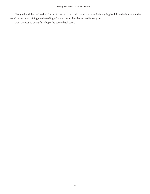I laughed with her as I waited for her to get into the truck and drive away. Before going back into the house, an idea turned in my mind, giving me the feeling of having butterflies that turned into a grin.

God, she was so beautiful. I hope she comes back soon.